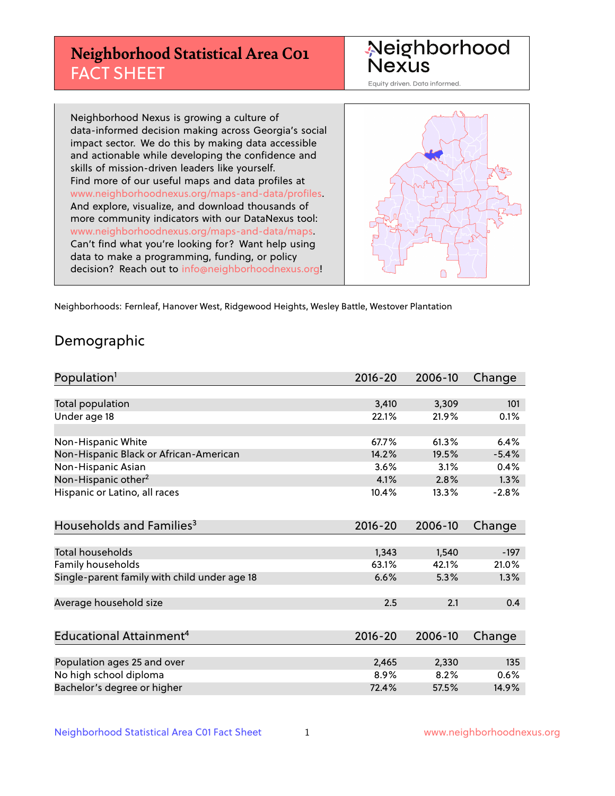## **Neighborhood Statistical Area C01** FACT SHEET



Equity driven. Data informed.

Neighborhood Nexus is growing a culture of data-informed decision making across Georgia's social impact sector. We do this by making data accessible and actionable while developing the confidence and skills of mission-driven leaders like yourself. Find more of our useful maps and data profiles at www.neighborhoodnexus.org/maps-and-data/profiles. And explore, visualize, and download thousands of more community indicators with our DataNexus tool: www.neighborhoodnexus.org/maps-and-data/maps. Can't find what you're looking for? Want help using data to make a programming, funding, or policy decision? Reach out to [info@neighborhoodnexus.org!](mailto:info@neighborhoodnexus.org)



Neighborhoods: Fernleaf, Hanover West, Ridgewood Heights, Wesley Battle, Westover Plantation

### Demographic

| Population <sup>1</sup>                      | $2016 - 20$ | 2006-10 | Change  |
|----------------------------------------------|-------------|---------|---------|
|                                              |             |         |         |
| Total population                             | 3,410       | 3,309   | 101     |
| Under age 18                                 | 22.1%       | 21.9%   | 0.1%    |
|                                              |             |         |         |
| Non-Hispanic White                           | 67.7%       | 61.3%   | 6.4%    |
| Non-Hispanic Black or African-American       | 14.2%       | 19.5%   | $-5.4%$ |
| Non-Hispanic Asian                           | 3.6%        | 3.1%    | 0.4%    |
| Non-Hispanic other <sup>2</sup>              | 4.1%        | 2.8%    | 1.3%    |
| Hispanic or Latino, all races                | 10.4%       | 13.3%   | $-2.8%$ |
|                                              |             |         |         |
| Households and Families <sup>3</sup>         | $2016 - 20$ | 2006-10 | Change  |
|                                              |             |         |         |
| <b>Total households</b>                      | 1,343       | 1,540   | $-197$  |
| Family households                            | 63.1%       | 42.1%   | 21.0%   |
| Single-parent family with child under age 18 | 6.6%        | 5.3%    | 1.3%    |
|                                              |             |         |         |
| Average household size                       | 2.5         | 2.1     | 0.4     |
|                                              |             |         |         |
| Educational Attainment <sup>4</sup>          | $2016 - 20$ | 2006-10 | Change  |
|                                              |             |         |         |
| Population ages 25 and over                  | 2,465       | 2,330   | 135     |
| No high school diploma                       | 8.9%        | 8.2%    | 0.6%    |
| Bachelor's degree or higher                  | 72.4%       | 57.5%   | 14.9%   |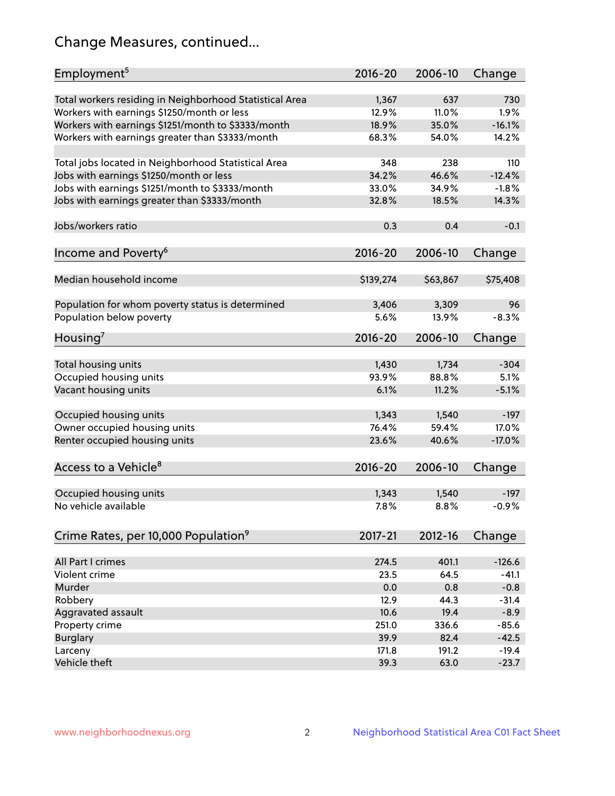## Change Measures, continued...

| Employment <sup>5</sup>                                 | 2016-20     | 2006-10  | Change   |
|---------------------------------------------------------|-------------|----------|----------|
| Total workers residing in Neighborhood Statistical Area | 1,367       | 637      | 730      |
| Workers with earnings \$1250/month or less              | 12.9%       | 11.0%    | 1.9%     |
| Workers with earnings \$1251/month to \$3333/month      | 18.9%       | 35.0%    | $-16.1%$ |
| Workers with earnings greater than \$3333/month         | 68.3%       | 54.0%    | 14.2%    |
|                                                         |             |          |          |
| Total jobs located in Neighborhood Statistical Area     | 348         | 238      | 110      |
| Jobs with earnings \$1250/month or less                 | 34.2%       | 46.6%    | $-12.4%$ |
| Jobs with earnings \$1251/month to \$3333/month         | 33.0%       | 34.9%    | $-1.8%$  |
| Jobs with earnings greater than \$3333/month            | 32.8%       | 18.5%    | 14.3%    |
|                                                         |             |          |          |
| Jobs/workers ratio                                      | 0.3         | 0.4      | $-0.1$   |
|                                                         |             |          |          |
| Income and Poverty <sup>6</sup>                         | 2016-20     | 2006-10  | Change   |
|                                                         |             |          |          |
| Median household income                                 | \$139,274   | \$63,867 | \$75,408 |
|                                                         |             |          |          |
| Population for whom poverty status is determined        | 3,406       | 3,309    | 96       |
| Population below poverty                                | 5.6%        | 13.9%    | $-8.3%$  |
|                                                         |             |          |          |
| Housing <sup>7</sup>                                    | 2016-20     | 2006-10  | Change   |
|                                                         |             |          |          |
| Total housing units                                     | 1,430       | 1,734    | $-304$   |
| Occupied housing units                                  | 93.9%       | 88.8%    | 5.1%     |
| Vacant housing units                                    | 6.1%        | 11.2%    | $-5.1%$  |
|                                                         |             |          |          |
| Occupied housing units                                  | 1,343       | 1,540    | $-197$   |
| Owner occupied housing units                            | 76.4%       | 59.4%    | 17.0%    |
| Renter occupied housing units                           | 23.6%       | 40.6%    | $-17.0%$ |
|                                                         |             |          |          |
| Access to a Vehicle <sup>8</sup>                        | $2016 - 20$ | 2006-10  | Change   |
|                                                         |             |          |          |
| Occupied housing units                                  | 1,343       | 1,540    | $-197$   |
| No vehicle available                                    | 7.8%        | 8.8%     | $-0.9%$  |
|                                                         |             |          |          |
| Crime Rates, per 10,000 Population <sup>9</sup>         | 2017-21     | 2012-16  | Change   |
|                                                         |             |          |          |
| All Part I crimes                                       | 274.5       | 401.1    | $-126.6$ |
| Violent crime                                           | 23.5        | 64.5     | $-41.1$  |
| <b>Murder</b>                                           | 0.0         | 0.8      | $-0.8$   |
| Robbery                                                 | 12.9        | 44.3     | $-31.4$  |
| Aggravated assault                                      | 10.6        | 19.4     | $-8.9$   |
| Property crime                                          | 251.0       | 336.6    | $-85.6$  |
| <b>Burglary</b>                                         | 39.9        | 82.4     | $-42.5$  |
| Larceny                                                 | 171.8       | 191.2    | $-19.4$  |
| Vehicle theft                                           | 39.3        | 63.0     | $-23.7$  |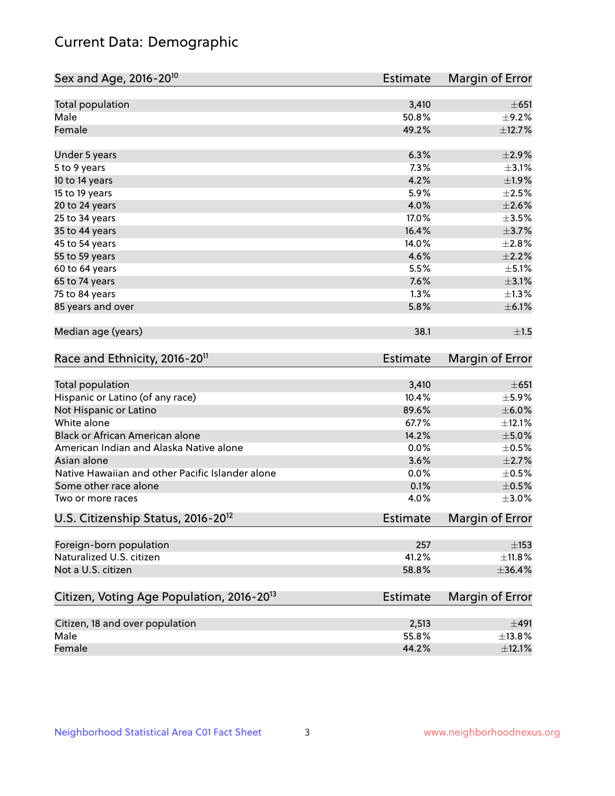## Current Data: Demographic

| Sex and Age, 2016-20 <sup>10</sup>                    | <b>Estimate</b> | Margin of Error |
|-------------------------------------------------------|-----------------|-----------------|
| Total population                                      | 3,410           | $\pm 651$       |
| Male                                                  | 50.8%           | $\pm$ 9.2%      |
| Female                                                | 49.2%           | ±12.7%          |
| Under 5 years                                         | 6.3%            | $\pm 2.9\%$     |
| 5 to 9 years                                          | 7.3%            | $\pm$ 3.1%      |
| 10 to 14 years                                        | 4.2%            | ±1.9%           |
| 15 to 19 years                                        | 5.9%            | $\pm 2.5\%$     |
| 20 to 24 years                                        | 4.0%            | $\pm 2.6\%$     |
| 25 to 34 years                                        | 17.0%           | $\pm 3.5\%$     |
| 35 to 44 years                                        | 16.4%           | $\pm$ 3.7%      |
| 45 to 54 years                                        | 14.0%           | $\pm 2.8\%$     |
| 55 to 59 years                                        | 4.6%            | $\pm 2.2\%$     |
| 60 to 64 years                                        | 5.5%            | $\pm$ 5.1%      |
| 65 to 74 years                                        | 7.6%            | $\pm 3.1\%$     |
| 75 to 84 years                                        | 1.3%            | $\pm 1.3\%$     |
| 85 years and over                                     | 5.8%            | $\pm$ 6.1%      |
| Median age (years)                                    | 38.1            | ±1.5            |
| Race and Ethnicity, 2016-20 <sup>11</sup>             | <b>Estimate</b> | Margin of Error |
| <b>Total population</b>                               | 3,410           | $\pm 651$       |
| Hispanic or Latino (of any race)                      | 10.4%           | $\pm$ 5.9%      |
| Not Hispanic or Latino                                | 89.6%           | $\pm$ 6.0%      |
| White alone                                           | 67.7%           | ±12.1%          |
| Black or African American alone                       | 14.2%           | $\pm$ 5.0%      |
| American Indian and Alaska Native alone               | 0.0%            | $\pm$ 0.5%      |
| Asian alone                                           | 3.6%            | $\pm 2.7\%$     |
| Native Hawaiian and other Pacific Islander alone      | 0.0%            | $\pm$ 0.5%      |
| Some other race alone                                 | 0.1%            | $\pm$ 0.5%      |
| Two or more races                                     | 4.0%            | $\pm 3.0\%$     |
| U.S. Citizenship Status, 2016-20 <sup>12</sup>        | <b>Estimate</b> | Margin of Error |
| Foreign-born population                               | 257             | $\pm$ 153       |
| Naturalized U.S. citizen                              | 41.2%           | ±11.8%          |
| Not a U.S. citizen                                    | 58.8%           | ±36.4%          |
| Citizen, Voting Age Population, 2016-20 <sup>13</sup> | Estimate        | Margin of Error |
| Citizen, 18 and over population                       | 2,513           | ±491            |
| Male                                                  | 55.8%           | ±13.8%          |
| Female                                                | 44.2%           | $\pm$ 12.1%     |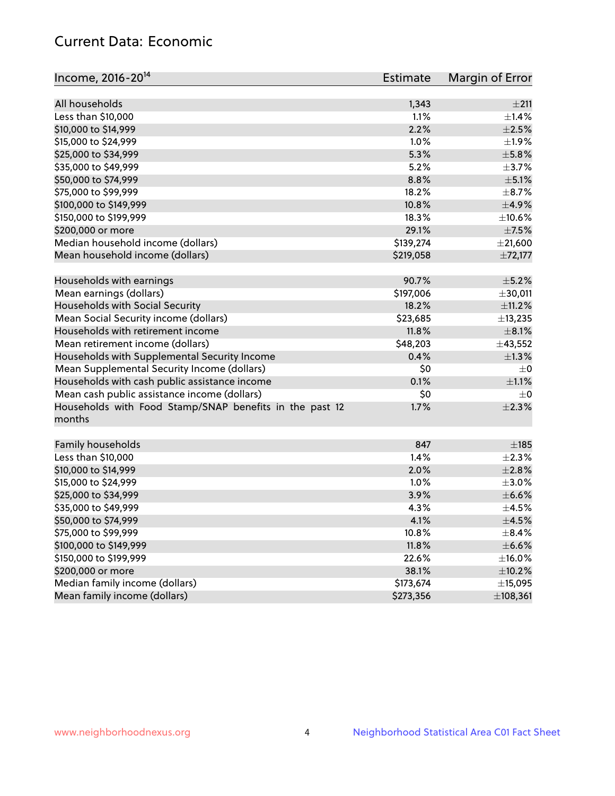## Current Data: Economic

| Income, 2016-20 <sup>14</sup>                                     | <b>Estimate</b> | Margin of Error |
|-------------------------------------------------------------------|-----------------|-----------------|
| All households                                                    |                 | ±211            |
| Less than \$10,000                                                | 1,343<br>1.1%   | $\pm 1.4\%$     |
|                                                                   | 2.2%            | $\pm 2.5\%$     |
| \$10,000 to \$14,999<br>\$15,000 to \$24,999                      |                 |                 |
|                                                                   | 1.0%            | ±1.9%           |
| \$25,000 to \$34,999                                              | 5.3%            | $\pm$ 5.8%      |
| \$35,000 to \$49,999                                              | 5.2%            | $\pm$ 3.7%      |
| \$50,000 to \$74,999                                              | 8.8%            | $\pm$ 5.1%      |
| \$75,000 to \$99,999                                              | 18.2%           | $\pm$ 8.7%      |
| \$100,000 to \$149,999                                            | 10.8%           | $\pm$ 4.9%      |
| \$150,000 to \$199,999                                            | 18.3%           | ±10.6%          |
| \$200,000 or more                                                 | 29.1%           | $\pm$ 7.5%      |
| Median household income (dollars)                                 | \$139,274       | $±$ 21,600      |
| Mean household income (dollars)                                   | \$219,058       | ±72,177         |
| Households with earnings                                          | 90.7%           | $\pm$ 5.2%      |
| Mean earnings (dollars)                                           | \$197,006       | ±30,011         |
| Households with Social Security                                   | 18.2%           | $\pm$ 11.2%     |
| Mean Social Security income (dollars)                             | \$23,685        | ±13,235         |
| Households with retirement income                                 | 11.8%           | $\pm$ 8.1%      |
| Mean retirement income (dollars)                                  | \$48,203        | ±43,552         |
| Households with Supplemental Security Income                      | 0.4%            | $\pm 1.3\%$     |
| Mean Supplemental Security Income (dollars)                       | \$0             | $\pm$ 0         |
| Households with cash public assistance income                     | 0.1%            | $\pm 1.1\%$     |
| Mean cash public assistance income (dollars)                      | \$0             | $\pm$ 0         |
| Households with Food Stamp/SNAP benefits in the past 12<br>months | 1.7%            | $\pm 2.3\%$     |
| Family households                                                 | 847             | $\pm$ 185       |
| Less than \$10,000                                                | 1.4%            | $\pm 2.3\%$     |
| \$10,000 to \$14,999                                              | 2.0%            | ±2.8%           |
| \$15,000 to \$24,999                                              | 1.0%            | $\pm 3.0\%$     |
| \$25,000 to \$34,999                                              | 3.9%            | $\pm$ 6.6%      |
| \$35,000 to \$49,999                                              | 4.3%            | $\pm 4.5\%$     |
| \$50,000 to \$74,999                                              | 4.1%            | $\pm$ 4.5%      |
| \$75,000 to \$99,999                                              | 10.8%           | $\pm$ 8.4%      |
| \$100,000 to \$149,999                                            | 11.8%           | $\pm$ 6.6%      |
| \$150,000 to \$199,999                                            | 22.6%           | ±16.0%          |
| \$200,000 or more                                                 | 38.1%           | $\pm$ 10.2%     |
| Median family income (dollars)                                    | \$173,674       | ±15,095         |
| Mean family income (dollars)                                      | \$273,356       | ±108,361        |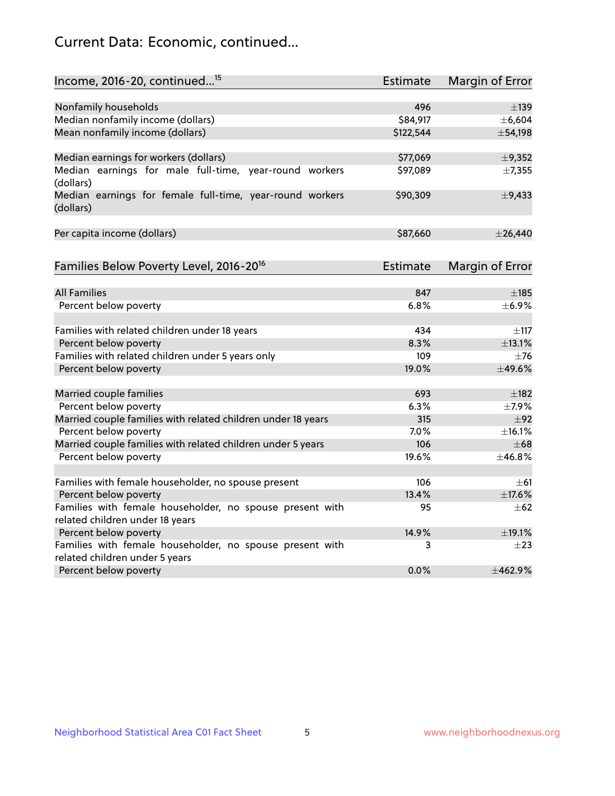## Current Data: Economic, continued...

| Income, 2016-20, continued <sup>15</sup>                                                    | <b>Estimate</b> | <b>Margin of Error</b> |
|---------------------------------------------------------------------------------------------|-----------------|------------------------|
|                                                                                             |                 |                        |
| Nonfamily households                                                                        | 496             | $\pm$ 139              |
| Median nonfamily income (dollars)                                                           | \$84,917        | ±6,604                 |
| Mean nonfamily income (dollars)                                                             | \$122,544       | ±54,198                |
| Median earnings for workers (dollars)                                                       | \$77,069        | ±9,352                 |
| Median earnings for male full-time, year-round workers<br>(dollars)                         | \$97,089        | ±7,355                 |
| Median earnings for female full-time, year-round workers<br>(dollars)                       | \$90,309        | $\pm$ 9,433            |
| Per capita income (dollars)                                                                 | \$87,660        | $±$ 26,440             |
| Families Below Poverty Level, 2016-20 <sup>16</sup>                                         | <b>Estimate</b> | <b>Margin of Error</b> |
|                                                                                             |                 |                        |
| <b>All Families</b>                                                                         | 847             | $\pm$ 185              |
| Percent below poverty                                                                       | 6.8%            | ±6.9%                  |
| Families with related children under 18 years                                               | 434             | $\pm$ 117              |
| Percent below poverty                                                                       | 8.3%            | ±13.1%                 |
| Families with related children under 5 years only                                           | 109             | $\pm$ 76               |
| Percent below poverty                                                                       | 19.0%           | ±49.6%                 |
| Married couple families                                                                     | 693             | $\pm$ 182              |
| Percent below poverty                                                                       | 6.3%            | $\pm$ 7.9%             |
| Married couple families with related children under 18 years                                | 315             | ±92                    |
| Percent below poverty                                                                       | $7.0\%$         | ±16.1%                 |
| Married couple families with related children under 5 years                                 | 106             | $\pm 68$               |
| Percent below poverty                                                                       | 19.6%           | ±46.8%                 |
|                                                                                             |                 |                        |
| Families with female householder, no spouse present                                         | 106<br>13.4%    | $\pm$ 61               |
| Percent below poverty                                                                       |                 | ±17.6%                 |
| Families with female householder, no spouse present with<br>related children under 18 years | 95              | $\pm 62$               |
| Percent below poverty                                                                       | 14.9%           | ±19.1%                 |
| Families with female householder, no spouse present with                                    | 3               | $\pm 23$               |
| related children under 5 years                                                              |                 |                        |
| Percent below poverty                                                                       | 0.0%            | ±462.9%                |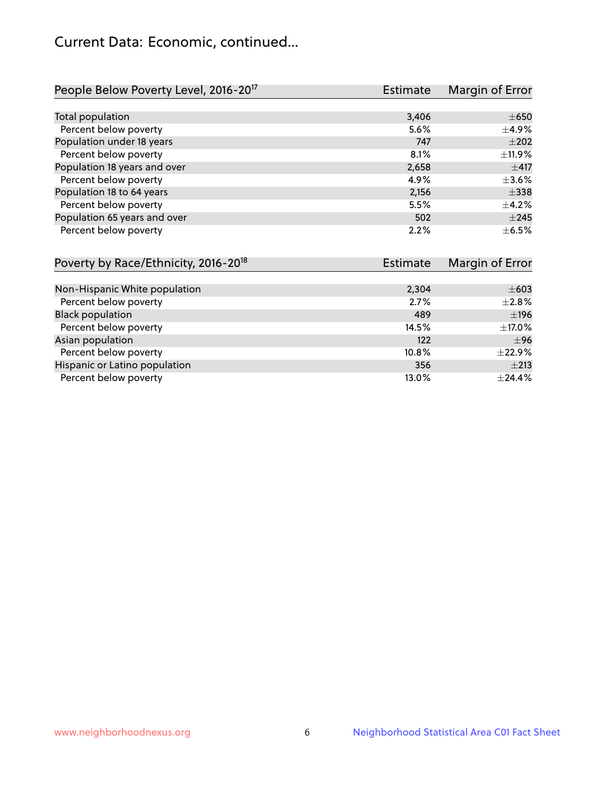## Current Data: Economic, continued...

| People Below Poverty Level, 2016-20 <sup>17</sup> | <b>Estimate</b> | Margin of Error |
|---------------------------------------------------|-----------------|-----------------|
|                                                   |                 |                 |
| Total population                                  | 3,406           | $\pm 650$       |
| Percent below poverty                             | 5.6%            | $\pm$ 4.9%      |
| Population under 18 years                         | 747             | $\pm 202$       |
| Percent below poverty                             | 8.1%            | ±11.9%          |
| Population 18 years and over                      | 2,658           | ±417            |
| Percent below poverty                             | 4.9%            | $\pm$ 3.6%      |
| Population 18 to 64 years                         | 2,156           | $\pm$ 338       |
| Percent below poverty                             | 5.5%            | $+4.2%$         |
| Population 65 years and over                      | 502             | $\pm 245$       |
| Percent below poverty                             | 2.2%            | $\pm$ 6.5%      |

| Poverty by Race/Ethnicity, 2016-20 <sup>18</sup> | <b>Estimate</b> | Margin of Error |
|--------------------------------------------------|-----------------|-----------------|
|                                                  |                 |                 |
| Non-Hispanic White population                    | 2,304           | $\pm 603$       |
| Percent below poverty                            | 2.7%            | $\pm 2.8\%$     |
| <b>Black population</b>                          | 489             | ±196            |
| Percent below poverty                            | 14.5%           | $\pm$ 17.0%     |
| Asian population                                 | 122             | ±96             |
| Percent below poverty                            | 10.8%           | $\pm$ 22.9%     |
| Hispanic or Latino population                    | 356             | $\pm 213$       |
| Percent below poverty                            | 13.0%           | ±24.4%          |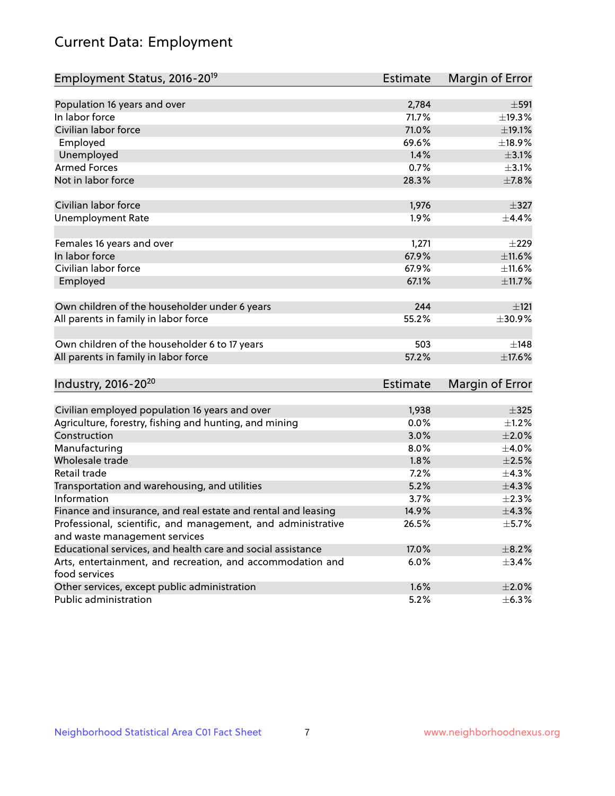# Current Data: Employment

| Employment Status, 2016-20 <sup>19</sup>                      | <b>Estimate</b> | Margin of Error |
|---------------------------------------------------------------|-----------------|-----------------|
|                                                               |                 |                 |
| Population 16 years and over                                  | 2,784           | $\pm$ 591       |
| In labor force                                                | 71.7%           | ±19.3%          |
| Civilian labor force                                          | 71.0%           | ±19.1%          |
| Employed                                                      | 69.6%           | ±18.9%          |
| Unemployed                                                    | 1.4%            | $\pm$ 3.1%      |
| <b>Armed Forces</b>                                           | 0.7%            | $\pm$ 3.1%      |
| Not in labor force                                            | 28.3%           | ±7.8%           |
| Civilian labor force                                          | 1,976           | $\pm$ 327       |
| <b>Unemployment Rate</b>                                      | 1.9%            | $\pm$ 4.4%      |
| Females 16 years and over                                     | 1,271           | $\pm 229$       |
| In labor force                                                | 67.9%           | ±11.6%          |
| Civilian labor force                                          | 67.9%           | $\pm$ 11.6%     |
| Employed                                                      | 67.1%           | ±11.7%          |
|                                                               |                 |                 |
| Own children of the householder under 6 years                 | 244             | ±121            |
| All parents in family in labor force                          | 55.2%           | ±30.9%          |
|                                                               |                 |                 |
| Own children of the householder 6 to 17 years                 | 503             | ±148            |
| All parents in family in labor force                          | 57.2%           | ±17.6%          |
| Industry, 2016-20 <sup>20</sup>                               | <b>Estimate</b> | Margin of Error |
|                                                               |                 |                 |
| Civilian employed population 16 years and over                | 1,938           | $\pm$ 325       |
| Agriculture, forestry, fishing and hunting, and mining        | 0.0%            | $\pm$ 1.2%      |
| Construction                                                  | 3.0%            | $\pm 2.0\%$     |
| Manufacturing                                                 | 8.0%            | ±4.0%           |
| Wholesale trade                                               | 1.8%            | $\pm 2.5\%$     |
| Retail trade                                                  | 7.2%            | ±4.3%           |
| Transportation and warehousing, and utilities                 | 5.2%            | ±4.3%           |
| Information                                                   | 3.7%            | $\pm 2.3\%$     |
| Finance and insurance, and real estate and rental and leasing | 14.9%           | ±4.3%           |
| Professional, scientific, and management, and administrative  | 26.5%           | $\pm$ 5.7%      |
| and waste management services                                 |                 |                 |
| Educational services, and health care and social assistance   | 17.0%           | $\pm$ 8.2%      |
| Arts, entertainment, and recreation, and accommodation and    | 6.0%            | $\pm$ 3.4%      |
| food services                                                 |                 |                 |
| Other services, except public administration                  | 1.6%            | $\pm 2.0\%$     |
| Public administration                                         | 5.2%            | $\pm$ 6.3%      |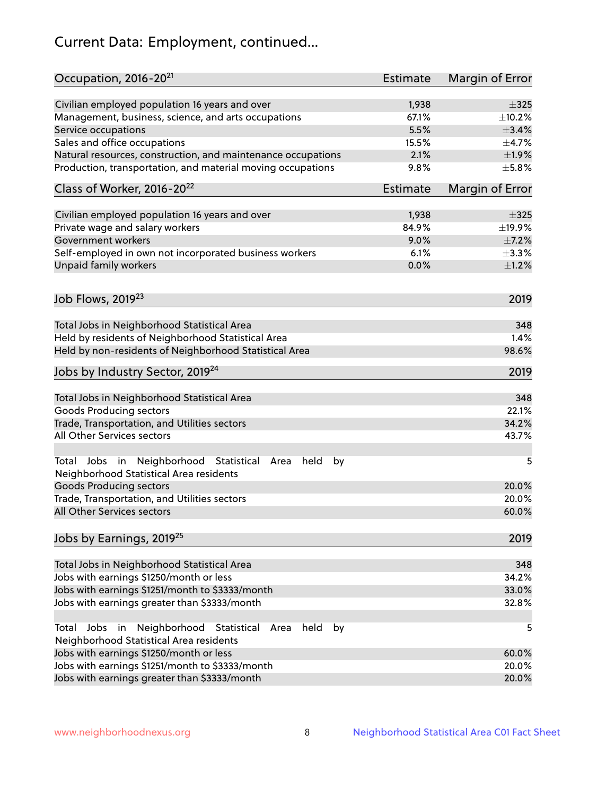# Current Data: Employment, continued...

| Occupation, 2016-20 <sup>21</sup>                                                                       | <b>Estimate</b> | Margin of Error |
|---------------------------------------------------------------------------------------------------------|-----------------|-----------------|
| Civilian employed population 16 years and over                                                          | 1,938           | $\pm$ 325       |
| Management, business, science, and arts occupations                                                     | 67.1%           | ±10.2%          |
| Service occupations                                                                                     | 5.5%            | ±3.4%           |
| Sales and office occupations                                                                            | 15.5%           | $\pm$ 4.7%      |
| Natural resources, construction, and maintenance occupations                                            | 2.1%            | ±1.9%           |
| Production, transportation, and material moving occupations                                             | 9.8%            | $\pm$ 5.8%      |
| Class of Worker, 2016-20 <sup>22</sup>                                                                  | Estimate        | Margin of Error |
| Civilian employed population 16 years and over                                                          | 1,938           | $\pm$ 325       |
| Private wage and salary workers                                                                         | 84.9%           | ±19.9%          |
| Government workers                                                                                      | 9.0%            | $\pm$ 7.2%      |
| Self-employed in own not incorporated business workers                                                  | 6.1%            | $\pm$ 3.3%      |
| Unpaid family workers                                                                                   | 0.0%            | $\pm 1.2\%$     |
| Job Flows, 2019 <sup>23</sup>                                                                           |                 | 2019            |
|                                                                                                         |                 |                 |
| Total Jobs in Neighborhood Statistical Area                                                             |                 | 348             |
| Held by residents of Neighborhood Statistical Area                                                      |                 | 1.4%            |
| Held by non-residents of Neighborhood Statistical Area                                                  |                 | 98.6%           |
| Jobs by Industry Sector, 2019 <sup>24</sup>                                                             |                 | 2019            |
| Total Jobs in Neighborhood Statistical Area                                                             |                 | 348             |
| <b>Goods Producing sectors</b>                                                                          |                 | 22.1%           |
| Trade, Transportation, and Utilities sectors                                                            |                 | 34.2%           |
| All Other Services sectors                                                                              |                 | 43.7%           |
| Total Jobs in Neighborhood Statistical<br>held<br>by<br>Area<br>Neighborhood Statistical Area residents |                 | 5               |
| <b>Goods Producing sectors</b>                                                                          |                 | 20.0%           |
| Trade, Transportation, and Utilities sectors                                                            |                 | 20.0%           |
| All Other Services sectors                                                                              |                 | 60.0%           |
| Jobs by Earnings, 2019 <sup>25</sup>                                                                    |                 | 2019            |
| Total Jobs in Neighborhood Statistical Area                                                             |                 | 348             |
| Jobs with earnings \$1250/month or less                                                                 |                 | 34.2%           |
| Jobs with earnings \$1251/month to \$3333/month                                                         |                 | 33.0%           |
| Jobs with earnings greater than \$3333/month                                                            |                 | 32.8%           |
| Neighborhood Statistical<br>Jobs<br>in<br>held<br>by<br>Total<br>Area                                   |                 | 5               |
| Neighborhood Statistical Area residents                                                                 |                 |                 |
| Jobs with earnings \$1250/month or less                                                                 |                 | 60.0%           |
| Jobs with earnings \$1251/month to \$3333/month                                                         |                 | 20.0%           |
| Jobs with earnings greater than \$3333/month                                                            |                 | 20.0%           |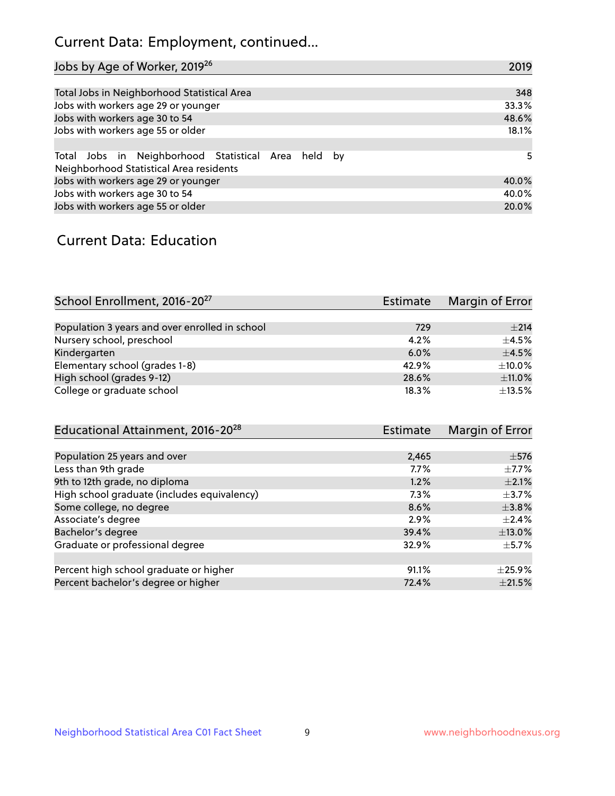## Current Data: Employment, continued...

| Jobs by Age of Worker, 2019 <sup>26</sup>                                                      | 2019  |
|------------------------------------------------------------------------------------------------|-------|
|                                                                                                |       |
| Total Jobs in Neighborhood Statistical Area                                                    | 348   |
| Jobs with workers age 29 or younger                                                            | 33.3% |
| Jobs with workers age 30 to 54                                                                 | 48.6% |
| Jobs with workers age 55 or older                                                              | 18.1% |
|                                                                                                |       |
| Total Jobs in Neighborhood Statistical Area held by<br>Neighborhood Statistical Area residents | 5     |
| Jobs with workers age 29 or younger                                                            | 40.0% |
| Jobs with workers age 30 to 54                                                                 | 40.0% |
| Jobs with workers age 55 or older                                                              | 20.0% |

### Current Data: Education

| School Enrollment, 2016-20 <sup>27</sup>       | Estimate | Margin of Error |
|------------------------------------------------|----------|-----------------|
|                                                |          |                 |
| Population 3 years and over enrolled in school | 729      | $\pm 214$       |
| Nursery school, preschool                      | 4.2%     | $\pm 4.5\%$     |
| Kindergarten                                   | 6.0%     | $\pm$ 4.5%      |
| Elementary school (grades 1-8)                 | 42.9%    | $\pm$ 10.0%     |
| High school (grades 9-12)                      | 28.6%    | ±11.0%          |
| College or graduate school                     | 18.3%    | $\pm$ 13.5%     |

| Educational Attainment, 2016-20 <sup>28</sup> | <b>Estimate</b> | Margin of Error |
|-----------------------------------------------|-----------------|-----------------|
|                                               |                 |                 |
| Population 25 years and over                  | 2,465           | $\pm$ 576       |
| Less than 9th grade                           | 7.7%            | $\pm$ 7.7%      |
| 9th to 12th grade, no diploma                 | 1.2%            | $\pm 2.1\%$     |
| High school graduate (includes equivalency)   | 7.3%            | $\pm$ 3.7%      |
| Some college, no degree                       | 8.6%            | $\pm$ 3.8%      |
| Associate's degree                            | 2.9%            | $\pm 2.4\%$     |
| Bachelor's degree                             | 39.4%           | $\pm$ 13.0%     |
| Graduate or professional degree               | 32.9%           | $+5.7%$         |
|                                               |                 |                 |
| Percent high school graduate or higher        | 91.1%           | $\pm$ 25.9%     |
| Percent bachelor's degree or higher           | 72.4%           | $\pm 21.5\%$    |
|                                               |                 |                 |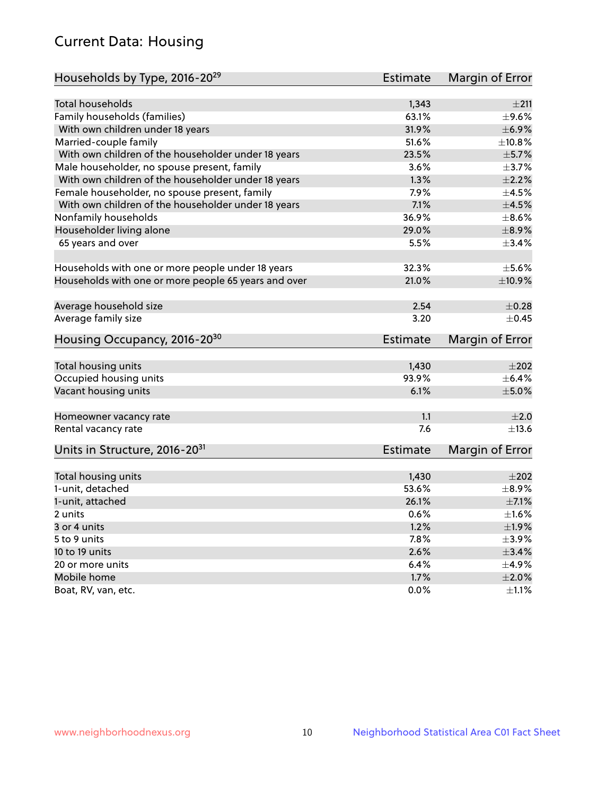## Current Data: Housing

| Households by Type, 2016-20 <sup>29</sup>            | <b>Estimate</b> | Margin of Error |
|------------------------------------------------------|-----------------|-----------------|
|                                                      |                 |                 |
| Total households                                     | 1,343           | ±211            |
| Family households (families)                         | 63.1%           | $\pm$ 9.6%      |
| With own children under 18 years                     | 31.9%           | $\pm$ 6.9%      |
| Married-couple family                                | 51.6%           | ±10.8%          |
| With own children of the householder under 18 years  | 23.5%           | $\pm$ 5.7%      |
| Male householder, no spouse present, family          | 3.6%            | $\pm$ 3.7%      |
| With own children of the householder under 18 years  | 1.3%            | $\pm 2.2\%$     |
| Female householder, no spouse present, family        | 7.9%            | $\pm$ 4.5%      |
| With own children of the householder under 18 years  | 7.1%            | $\pm 4.5\%$     |
| Nonfamily households                                 | 36.9%           | $\pm$ 8.6%      |
| Householder living alone                             | 29.0%           | $\pm$ 8.9%      |
| 65 years and over                                    | 5.5%            | ±3.4%           |
| Households with one or more people under 18 years    | 32.3%           | $\pm$ 5.6%      |
| Households with one or more people 65 years and over | 21.0%           | $\pm$ 10.9%     |
|                                                      |                 |                 |
| Average household size                               | 2.54            | $\pm$ 0.28      |
| Average family size                                  | 3.20            | $\pm$ 0.45      |
| Housing Occupancy, 2016-20 <sup>30</sup>             | <b>Estimate</b> | Margin of Error |
| Total housing units                                  | 1,430           | $\pm 202$       |
| Occupied housing units                               | 93.9%           | $\pm$ 6.4%      |
| Vacant housing units                                 | 6.1%            | $\pm$ 5.0%      |
|                                                      |                 |                 |
| Homeowner vacancy rate                               | 1.1             | ±2.0            |
| Rental vacancy rate                                  | 7.6             | $\pm$ 13.6      |
| Units in Structure, 2016-20 <sup>31</sup>            | Estimate        | Margin of Error |
| Total housing units                                  | 1,430           | $\pm 202$       |
| 1-unit, detached                                     | 53.6%           | $\pm$ 8.9%      |
|                                                      | 26.1%           | $\pm$ 7.1%      |
| 1-unit, attached                                     |                 | $\pm 1.6\%$     |
| 2 units                                              | 0.6%<br>1.2%    |                 |
| 3 or 4 units                                         |                 | ±1.9%           |
| 5 to 9 units                                         | 7.8%            | $\pm$ 3.9%      |
| 10 to 19 units                                       | 2.6%            | $\pm$ 3.4%      |
| 20 or more units                                     | 6.4%            | $\pm$ 4.9%      |
| Mobile home                                          | 1.7%            | $\pm 2.0\%$     |
| Boat, RV, van, etc.                                  | $0.0\%$         | $\pm 1.1\%$     |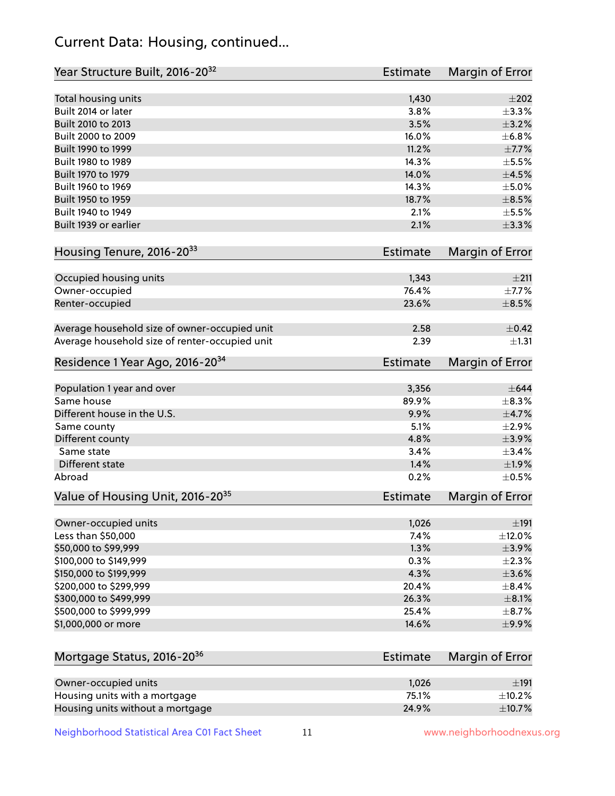## Current Data: Housing, continued...

| Year Structure Built, 2016-20 <sup>32</sup>                       | <b>Estimate</b> | Margin of Error       |
|-------------------------------------------------------------------|-----------------|-----------------------|
| Total housing units                                               | 1,430           | $\pm 202$             |
| Built 2014 or later                                               | 3.8%            | $\pm$ 3.3%            |
| Built 2010 to 2013                                                | 3.5%            | $\pm$ 3.2%            |
| Built 2000 to 2009                                                | 16.0%           | ±6.8%                 |
| Built 1990 to 1999                                                | 11.2%           | $\pm$ 7.7%            |
| Built 1980 to 1989                                                | 14.3%           | $\pm$ 5.5%            |
| Built 1970 to 1979                                                | 14.0%           | $\pm 4.5\%$           |
| Built 1960 to 1969                                                | 14.3%           | $\pm$ 5.0%            |
| Built 1950 to 1959                                                | 18.7%           | $\pm$ 8.5%            |
| Built 1940 to 1949                                                | 2.1%            | $\pm$ 5.5%            |
| Built 1939 or earlier                                             | 2.1%            | $\pm$ 3.3%            |
| Housing Tenure, 2016-2033                                         | <b>Estimate</b> | Margin of Error       |
| Occupied housing units                                            | 1,343           | ±211                  |
| Owner-occupied                                                    | 76.4%           | $\pm$ 7.7%            |
| Renter-occupied                                                   | 23.6%           | $\pm$ 8.5%            |
|                                                                   |                 |                       |
| Average household size of owner-occupied unit                     | 2.58            | $\pm$ 0.42            |
| Average household size of renter-occupied unit                    | 2.39            | $\pm 1.31$            |
| Residence 1 Year Ago, 2016-20 <sup>34</sup>                       | <b>Estimate</b> | Margin of Error       |
| Population 1 year and over                                        | 3,356           | $\pm 644$             |
| Same house                                                        | 89.9%           | $\pm$ 8.3%            |
| Different house in the U.S.                                       | 9.9%            | $\pm$ 4.7%            |
| Same county                                                       | 5.1%            | $\pm 2.9\%$           |
| Different county                                                  | 4.8%            | $\pm$ 3.9%            |
| Same state                                                        | 3.4%            | ±3.4%                 |
| Different state                                                   | 1.4%            | ±1.9%                 |
| Abroad                                                            | 0.2%            | $\pm$ 0.5%            |
| Value of Housing Unit, 2016-20 <sup>35</sup>                      | <b>Estimate</b> | Margin of Error       |
|                                                                   |                 |                       |
| Owner-occupied units                                              | 1,026           | $\pm$ 191             |
| Less than \$50,000                                                | 7.4%            | $\pm$ 12.0%           |
| \$50,000 to \$99,999                                              | 1.3%            | ±3.9%                 |
| \$100,000 to \$149,999                                            | 0.3%            | $\pm 2.3\%$           |
| \$150,000 to \$199,999                                            | 4.3%            | $\pm 3.6\%$           |
| \$200,000 to \$299,999                                            | 20.4%           | $\pm$ 8.4%            |
| \$300,000 to \$499,999                                            | 26.3%           | $\pm$ 8.1%            |
| \$500,000 to \$999,999                                            | 25.4%           | $\pm$ 8.7%            |
| \$1,000,000 or more                                               | 14.6%           | $\pm$ 9.9%            |
| Mortgage Status, 2016-20 <sup>36</sup>                            | <b>Estimate</b> | Margin of Error       |
|                                                                   |                 |                       |
| Owner-occupied units                                              | 1,026<br>75.1%  | ±191                  |
| Housing units with a mortgage<br>Housing units without a mortgage | 24.9%           | $\pm$ 10.2%<br>±10.7% |
|                                                                   |                 |                       |

Neighborhood Statistical Area C01 Fact Sheet 11 11 www.neighborhoodnexus.org

Housing units without a mortgage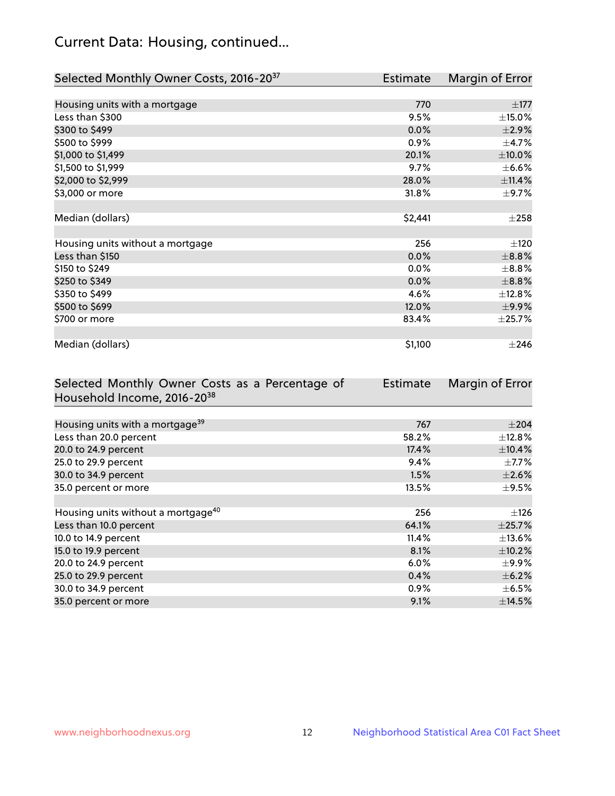## Current Data: Housing, continued...

| Selected Monthly Owner Costs, 2016-20 <sup>37</sup> | <b>Estimate</b> | Margin of Error |
|-----------------------------------------------------|-----------------|-----------------|
|                                                     |                 |                 |
| Housing units with a mortgage                       | 770             | $\pm 177$       |
| Less than \$300                                     | 9.5%            | $\pm$ 15.0%     |
| \$300 to \$499                                      | 0.0%            | $\pm 2.9\%$     |
| \$500 to \$999                                      | 0.9%            | $\pm$ 4.7%      |
| \$1,000 to \$1,499                                  | 20.1%           | $\pm 10.0\%$    |
| \$1,500 to \$1,999                                  | 9.7%            | $\pm$ 6.6%      |
| \$2,000 to \$2,999                                  | 28.0%           | ±11.4%          |
| \$3,000 or more                                     | 31.8%           | $\pm$ 9.7%      |
|                                                     |                 |                 |
| Median (dollars)                                    | \$2,441         | $\pm 258$       |
|                                                     |                 |                 |
| Housing units without a mortgage                    | 256             | ±120            |
| Less than \$150                                     | 0.0%            | $\pm$ 8.8%      |
| \$150 to \$249                                      | 0.0%            | $\pm$ 8.8%      |
| \$250 to \$349                                      | 0.0%            | $\pm$ 8.8%      |
| \$350 to \$499                                      | 4.6%            | ±12.8%          |
| \$500 to \$699                                      | 12.0%           | $\pm$ 9.9%      |
| \$700 or more                                       | 83.4%           | ±25.7%          |
|                                                     |                 |                 |
| Median (dollars)                                    | \$1,100         | $\pm 246$       |

| Selected Monthly Owner Costs as a Percentage of | <b>Estimate</b> | Margin of Error |
|-------------------------------------------------|-----------------|-----------------|
| Household Income, 2016-2038                     |                 |                 |
|                                                 |                 |                 |
| Housing units with a mortgage <sup>39</sup>     | 767             | $\pm 204$       |
| Less than 20.0 percent                          | 58.2%           | $\pm$ 12.8%     |
| 20.0 to 24.9 percent                            | 17.4%           | ±10.4%          |
| 25.0 to 29.9 percent                            | $9.4\%$         | $\pm$ 7.7%      |
| 30.0 to 34.9 percent                            | 1.5%            | $\pm 2.6\%$     |
| 35.0 percent or more                            | 13.5%           | $\pm$ 9.5%      |
|                                                 |                 |                 |
| Housing units without a mortgage <sup>40</sup>  | 256             | $\pm$ 126       |
| Less than 10.0 percent                          | 64.1%           | $\pm$ 25.7%     |
| 10.0 to 14.9 percent                            | 11.4%           | $\pm$ 13.6%     |
| 15.0 to 19.9 percent                            | 8.1%            | $\pm$ 10.2%     |
| 20.0 to 24.9 percent                            | $6.0\%$         | $\pm$ 9.9%      |
| 25.0 to 29.9 percent                            | 0.4%            | $\pm$ 6.2%      |
| 30.0 to 34.9 percent                            | $0.9\%$         | $\pm$ 6.5%      |
| 35.0 percent or more                            | 9.1%            | ±14.5%          |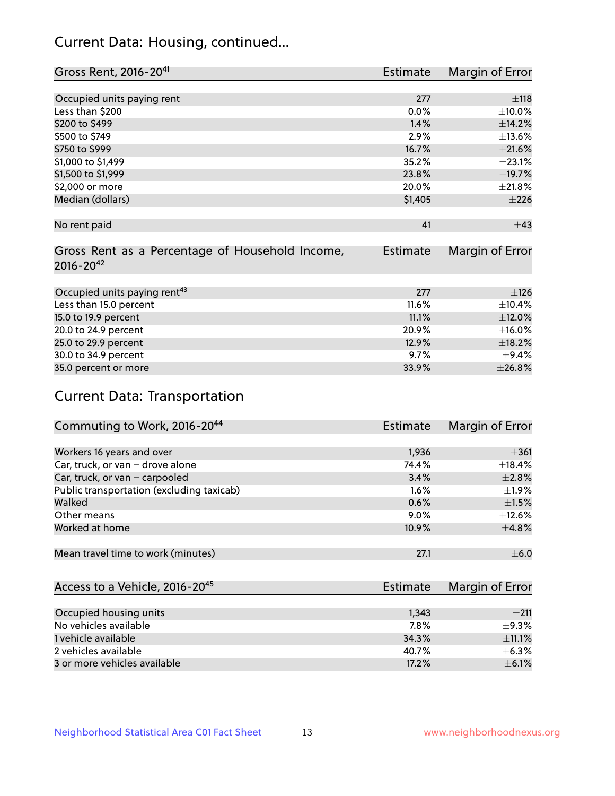## Current Data: Housing, continued...

| Gross Rent, 2016-20 <sup>41</sup>               | <b>Estimate</b> | Margin of Error |
|-------------------------------------------------|-----------------|-----------------|
|                                                 |                 |                 |
| Occupied units paying rent                      | 277             | ±118            |
| Less than \$200                                 | $0.0\%$         | $\pm$ 10.0%     |
| \$200 to \$499                                  | 1.4%            | ±14.2%          |
| \$500 to \$749                                  | 2.9%            | ±13.6%          |
| \$750 to \$999                                  | 16.7%           | $\pm 21.6\%$    |
| \$1,000 to \$1,499                              | 35.2%           | ±23.1%          |
| \$1,500 to \$1,999                              | 23.8%           | ±19.7%          |
| \$2,000 or more                                 | 20.0%           | ±21.8%          |
| Median (dollars)                                | \$1,405         | ±226            |
|                                                 |                 |                 |
| No rent paid                                    | 41              | $\pm$ 43        |
|                                                 |                 |                 |
| Gross Rent as a Percentage of Household Income, | <b>Estimate</b> | Margin of Error |
| $2016 - 20^{42}$                                |                 |                 |
|                                                 |                 |                 |
| Occupied units paying rent <sup>43</sup>        | 277             | ±126            |
| Less than 15.0 percent                          | 11.6%           | ±10.4%          |
| 15.0 to 19.9 percent                            | 11.1%           | $\pm$ 12.0%     |
| 20.0 to 24.9 percent                            | 20.9%           | $\pm$ 16.0%     |
| 25.0 to 29.9 percent                            | 12.9%           | ±18.2%          |
| 30.0 to 34.9 percent                            | 9.7%            | ±9.4%           |
| 35.0 percent or more                            | 33.9%           | ±26.8%          |

# Current Data: Transportation

| Commuting to Work, 2016-20 <sup>44</sup>  | <b>Estimate</b> | Margin of Error |
|-------------------------------------------|-----------------|-----------------|
|                                           |                 |                 |
| Workers 16 years and over                 | 1,936           | $\pm$ 361       |
| Car, truck, or van - drove alone          | 74.4%           | $\pm$ 18.4%     |
| Car, truck, or van - carpooled            | 3.4%            | $\pm 2.8\%$     |
| Public transportation (excluding taxicab) | $1.6\%$         | $\pm 1.9\%$     |
| Walked                                    | 0.6%            | $\pm 1.5\%$     |
| Other means                               | $9.0\%$         | $\pm$ 12.6%     |
| Worked at home                            | 10.9%           | $\pm$ 4.8%      |
|                                           |                 |                 |
| Mean travel time to work (minutes)        | 27.1            | $\pm$ 6.0       |

| Access to a Vehicle, 2016-20 <sup>45</sup> | Estimate | Margin of Error |
|--------------------------------------------|----------|-----------------|
|                                            |          |                 |
| Occupied housing units                     | 1,343    | $+211$          |
| No vehicles available                      | 7.8%     | $+9.3%$         |
| 1 vehicle available                        | 34.3%    | $\pm$ 11.1%     |
| 2 vehicles available                       | 40.7%    | $+6.3%$         |
| 3 or more vehicles available               | 17.2%    | $\pm$ 6.1%      |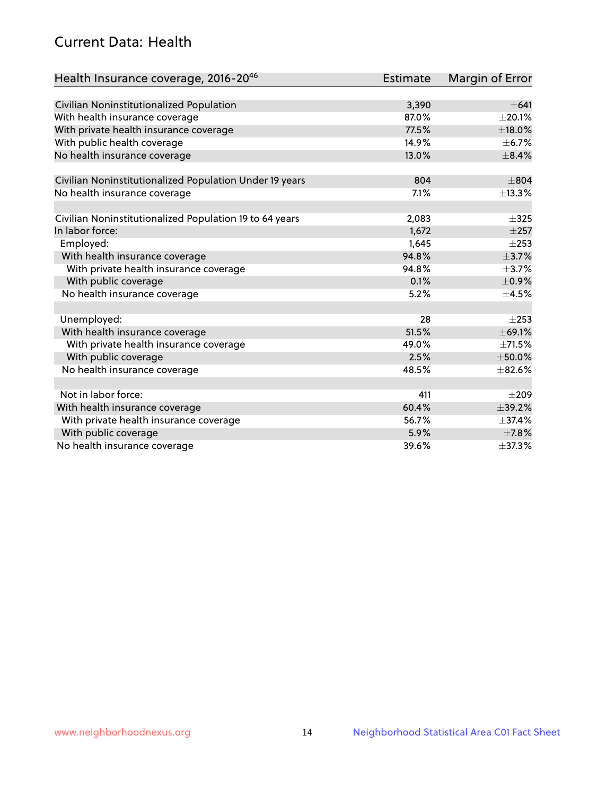## Current Data: Health

| Health Insurance coverage, 2016-2046                    | <b>Estimate</b> | Margin of Error |
|---------------------------------------------------------|-----------------|-----------------|
|                                                         |                 |                 |
| Civilian Noninstitutionalized Population                | 3,390           | $\pm 641$       |
| With health insurance coverage                          | 87.0%           | $\pm 20.1\%$    |
| With private health insurance coverage                  | 77.5%           | $\pm$ 18.0%     |
| With public health coverage                             | 14.9%           | $\pm$ 6.7%      |
| No health insurance coverage                            | 13.0%           | $\pm$ 8.4%      |
| Civilian Noninstitutionalized Population Under 19 years | 804             | $\pm$ 804       |
| No health insurance coverage                            | 7.1%            | ±13.3%          |
|                                                         |                 |                 |
| Civilian Noninstitutionalized Population 19 to 64 years | 2,083           | $\pm$ 325       |
| In labor force:                                         | 1,672           | $\pm 257$       |
| Employed:                                               | 1,645           | $\pm 253$       |
| With health insurance coverage                          | 94.8%           | $\pm$ 3.7%      |
| With private health insurance coverage                  | 94.8%           | $\pm$ 3.7%      |
| With public coverage                                    | 0.1%            | $\pm$ 0.9%      |
| No health insurance coverage                            | 5.2%            | $\pm$ 4.5%      |
|                                                         |                 |                 |
| Unemployed:                                             | 28              | $\pm 253$       |
| With health insurance coverage                          | 51.5%           | ±69.1%          |
| With private health insurance coverage                  | 49.0%           | ±71.5%          |
| With public coverage                                    | 2.5%            | $\pm$ 50.0%     |
| No health insurance coverage                            | 48.5%           | $\pm$ 82.6%     |
|                                                         |                 |                 |
| Not in labor force:                                     | 411             | $\pm 209$       |
| With health insurance coverage                          | 60.4%           | ±39.2%          |
| With private health insurance coverage                  | 56.7%           | ±37.4%          |
| With public coverage                                    | 5.9%            | $\pm$ 7.8%      |
| No health insurance coverage                            | 39.6%           | $\pm$ 37.3%     |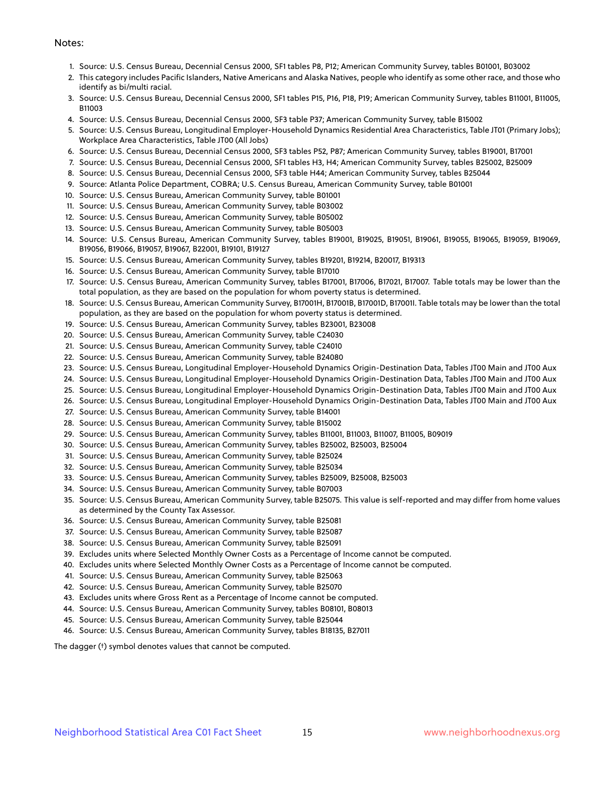#### Notes:

- 1. Source: U.S. Census Bureau, Decennial Census 2000, SF1 tables P8, P12; American Community Survey, tables B01001, B03002
- 2. This category includes Pacific Islanders, Native Americans and Alaska Natives, people who identify as some other race, and those who identify as bi/multi racial.
- 3. Source: U.S. Census Bureau, Decennial Census 2000, SF1 tables P15, P16, P18, P19; American Community Survey, tables B11001, B11005, B11003
- 4. Source: U.S. Census Bureau, Decennial Census 2000, SF3 table P37; American Community Survey, table B15002
- 5. Source: U.S. Census Bureau, Longitudinal Employer-Household Dynamics Residential Area Characteristics, Table JT01 (Primary Jobs); Workplace Area Characteristics, Table JT00 (All Jobs)
- 6. Source: U.S. Census Bureau, Decennial Census 2000, SF3 tables P52, P87; American Community Survey, tables B19001, B17001
- 7. Source: U.S. Census Bureau, Decennial Census 2000, SF1 tables H3, H4; American Community Survey, tables B25002, B25009
- 8. Source: U.S. Census Bureau, Decennial Census 2000, SF3 table H44; American Community Survey, tables B25044
- 9. Source: Atlanta Police Department, COBRA; U.S. Census Bureau, American Community Survey, table B01001
- 10. Source: U.S. Census Bureau, American Community Survey, table B01001
- 11. Source: U.S. Census Bureau, American Community Survey, table B03002
- 12. Source: U.S. Census Bureau, American Community Survey, table B05002
- 13. Source: U.S. Census Bureau, American Community Survey, table B05003
- 14. Source: U.S. Census Bureau, American Community Survey, tables B19001, B19025, B19051, B19061, B19055, B19065, B19059, B19069, B19056, B19066, B19057, B19067, B22001, B19101, B19127
- 15. Source: U.S. Census Bureau, American Community Survey, tables B19201, B19214, B20017, B19313
- 16. Source: U.S. Census Bureau, American Community Survey, table B17010
- 17. Source: U.S. Census Bureau, American Community Survey, tables B17001, B17006, B17021, B17007. Table totals may be lower than the total population, as they are based on the population for whom poverty status is determined.
- 18. Source: U.S. Census Bureau, American Community Survey, B17001H, B17001B, B17001D, B17001I. Table totals may be lower than the total population, as they are based on the population for whom poverty status is determined.
- 19. Source: U.S. Census Bureau, American Community Survey, tables B23001, B23008
- 20. Source: U.S. Census Bureau, American Community Survey, table C24030
- 21. Source: U.S. Census Bureau, American Community Survey, table C24010
- 22. Source: U.S. Census Bureau, American Community Survey, table B24080
- 23. Source: U.S. Census Bureau, Longitudinal Employer-Household Dynamics Origin-Destination Data, Tables JT00 Main and JT00 Aux
- 24. Source: U.S. Census Bureau, Longitudinal Employer-Household Dynamics Origin-Destination Data, Tables JT00 Main and JT00 Aux
- 25. Source: U.S. Census Bureau, Longitudinal Employer-Household Dynamics Origin-Destination Data, Tables JT00 Main and JT00 Aux
- 26. Source: U.S. Census Bureau, Longitudinal Employer-Household Dynamics Origin-Destination Data, Tables JT00 Main and JT00 Aux
- 27. Source: U.S. Census Bureau, American Community Survey, table B14001
- 28. Source: U.S. Census Bureau, American Community Survey, table B15002
- 29. Source: U.S. Census Bureau, American Community Survey, tables B11001, B11003, B11007, B11005, B09019
- 30. Source: U.S. Census Bureau, American Community Survey, tables B25002, B25003, B25004
- 31. Source: U.S. Census Bureau, American Community Survey, table B25024
- 32. Source: U.S. Census Bureau, American Community Survey, table B25034
- 33. Source: U.S. Census Bureau, American Community Survey, tables B25009, B25008, B25003
- 34. Source: U.S. Census Bureau, American Community Survey, table B07003
- 35. Source: U.S. Census Bureau, American Community Survey, table B25075. This value is self-reported and may differ from home values as determined by the County Tax Assessor.
- 36. Source: U.S. Census Bureau, American Community Survey, table B25081
- 37. Source: U.S. Census Bureau, American Community Survey, table B25087
- 38. Source: U.S. Census Bureau, American Community Survey, table B25091
- 39. Excludes units where Selected Monthly Owner Costs as a Percentage of Income cannot be computed.
- 40. Excludes units where Selected Monthly Owner Costs as a Percentage of Income cannot be computed.
- 41. Source: U.S. Census Bureau, American Community Survey, table B25063
- 42. Source: U.S. Census Bureau, American Community Survey, table B25070
- 43. Excludes units where Gross Rent as a Percentage of Income cannot be computed.
- 44. Source: U.S. Census Bureau, American Community Survey, tables B08101, B08013
- 45. Source: U.S. Census Bureau, American Community Survey, table B25044
- 46. Source: U.S. Census Bureau, American Community Survey, tables B18135, B27011

The dagger (†) symbol denotes values that cannot be computed.